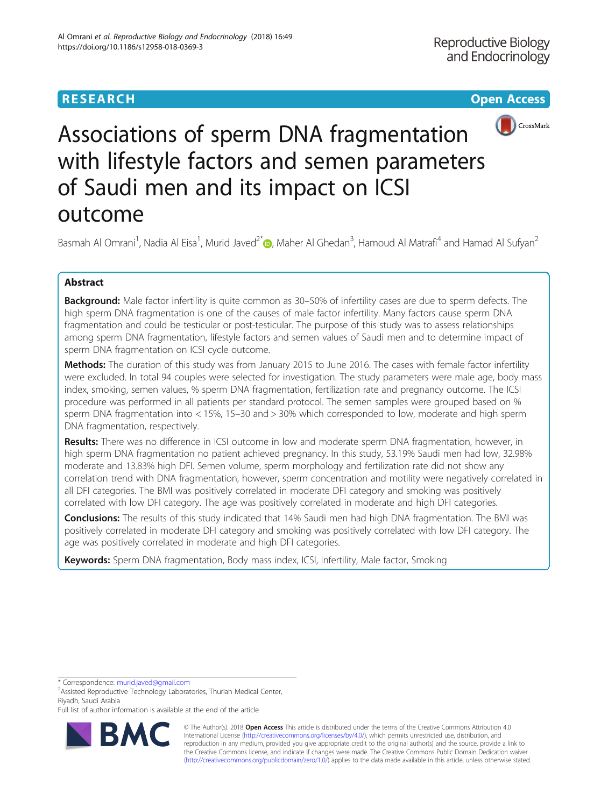

# Associations of sperm DNA fragmentation with lifestyle factors and semen parameters of Saudi men and its impact on ICSI outcome

Basmah Al Omrani<sup>1</sup>[,](http://orcid.org/0000-0002-4724-9984) Nadia Al Eisa<sup>1</sup>, Murid Javed<sup>2\*</sup> (@, Maher Al Ghedan<sup>3</sup>, Hamoud Al Matrafi<sup>4</sup> and Hamad Al Sufyan<sup>2</sup>

# Abstract

Background: Male factor infertility is quite common as 30-50% of infertility cases are due to sperm defects. The high sperm DNA fragmentation is one of the causes of male factor infertility. Many factors cause sperm DNA fragmentation and could be testicular or post-testicular. The purpose of this study was to assess relationships among sperm DNA fragmentation, lifestyle factors and semen values of Saudi men and to determine impact of sperm DNA fragmentation on ICSI cycle outcome.

Methods: The duration of this study was from January 2015 to June 2016. The cases with female factor infertility were excluded. In total 94 couples were selected for investigation. The study parameters were male age, body mass index, smoking, semen values, % sperm DNA fragmentation, fertilization rate and pregnancy outcome. The ICSI procedure was performed in all patients per standard protocol. The semen samples were grouped based on % sperm DNA fragmentation into < 15%, 15–30 and > 30% which corresponded to low, moderate and high sperm DNA fragmentation, respectively.

Results: There was no difference in ICSI outcome in low and moderate sperm DNA fragmentation, however, in high sperm DNA fragmentation no patient achieved pregnancy. In this study, 53.19% Saudi men had low, 32.98% moderate and 13.83% high DFI. Semen volume, sperm morphology and fertilization rate did not show any correlation trend with DNA fragmentation, however, sperm concentration and motility were negatively correlated in all DFI categories. The BMI was positively correlated in moderate DFI category and smoking was positively correlated with low DFI category. The age was positively correlated in moderate and high DFI categories.

Conclusions: The results of this study indicated that 14% Saudi men had high DNA fragmentation. The BMI was positively correlated in moderate DFI category and smoking was positively correlated with low DFI category. The age was positively correlated in moderate and high DFI categories.

Keywords: Sperm DNA fragmentation, Body mass index, ICSI, Infertility, Male factor, Smoking

\* Correspondence: [murid.javed@gmail.com](mailto:murid.javed@gmail.com) <sup>2</sup>

Assisted Reproductive Technology Laboratories, Thuriah Medical Center, Riyadh, Saudi Arabia

Full list of author information is available at the end of the article



© The Author(s). 2018 Open Access This article is distributed under the terms of the Creative Commons Attribution 4.0 International License [\(http://creativecommons.org/licenses/by/4.0/](http://creativecommons.org/licenses/by/4.0/)), which permits unrestricted use, distribution, and reproduction in any medium, provided you give appropriate credit to the original author(s) and the source, provide a link to the Creative Commons license, and indicate if changes were made. The Creative Commons Public Domain Dedication waiver [\(http://creativecommons.org/publicdomain/zero/1.0/](http://creativecommons.org/publicdomain/zero/1.0/)) applies to the data made available in this article, unless otherwise stated.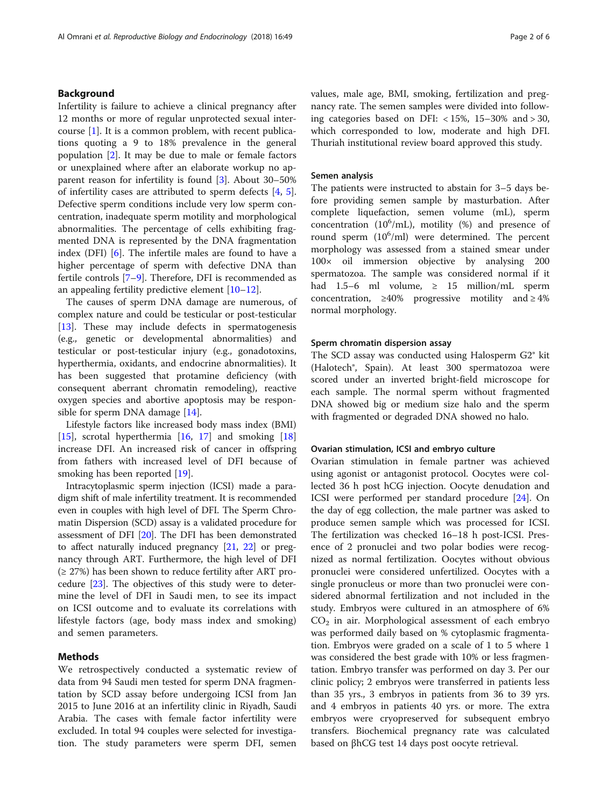# Background

Infertility is failure to achieve a clinical pregnancy after 12 months or more of regular unprotected sexual intercourse  $[1]$  $[1]$ . It is a common problem, with recent publications quoting a 9 to 18% prevalence in the general population [[2\]](#page-4-0). It may be due to male or female factors or unexplained where after an elaborate workup no apparent reason for infertility is found [[3\]](#page-4-0). About 30–50% of infertility cases are attributed to sperm defects [[4,](#page-4-0) [5](#page-4-0)]. Defective sperm conditions include very low sperm concentration, inadequate sperm motility and morphological abnormalities. The percentage of cells exhibiting fragmented DNA is represented by the DNA fragmentation index (DFI) [[6\]](#page-4-0). The infertile males are found to have a higher percentage of sperm with defective DNA than fertile controls [[7](#page-4-0)–[9\]](#page-4-0). Therefore, DFI is recommended as an appealing fertility predictive element [\[10](#page-4-0)–[12\]](#page-4-0).

The causes of sperm DNA damage are numerous, of complex nature and could be testicular or post-testicular [[13\]](#page-4-0). These may include defects in spermatogenesis (e.g., genetic or developmental abnormalities) and testicular or post-testicular injury (e.g., gonadotoxins, hyperthermia, oxidants, and endocrine abnormalities). It has been suggested that protamine deficiency (with consequent aberrant chromatin remodeling), reactive oxygen species and abortive apoptosis may be responsible for sperm DNA damage [[14\]](#page-4-0).

Lifestyle factors like increased body mass index (BMI) [[15\]](#page-4-0), scrotal hyperthermia  $[16, 17]$  $[16, 17]$  $[16, 17]$  $[16, 17]$  $[16, 17]$  and smoking  $[18]$  $[18]$  $[18]$ increase DFI. An increased risk of cancer in offspring from fathers with increased level of DFI because of smoking has been reported [\[19\]](#page-5-0).

Intracytoplasmic sperm injection (ICSI) made a paradigm shift of male infertility treatment. It is recommended even in couples with high level of DFI. The Sperm Chromatin Dispersion (SCD) assay is a validated procedure for assessment of DFI [\[20](#page-5-0)]. The DFI has been demonstrated to affect naturally induced pregnancy [[21](#page-5-0), [22\]](#page-5-0) or pregnancy through ART. Furthermore, the high level of DFI  $(\geq 27\%)$  has been shown to reduce fertility after ART procedure [\[23\]](#page-5-0). The objectives of this study were to determine the level of DFI in Saudi men, to see its impact on ICSI outcome and to evaluate its correlations with lifestyle factors (age, body mass index and smoking) and semen parameters.

# Methods

We retrospectively conducted a systematic review of data from 94 Saudi men tested for sperm DNA fragmentation by SCD assay before undergoing ICSI from Jan 2015 to June 2016 at an infertility clinic in Riyadh, Saudi Arabia. The cases with female factor infertility were excluded. In total 94 couples were selected for investigation. The study parameters were sperm DFI, semen values, male age, BMI, smoking, fertilization and pregnancy rate. The semen samples were divided into following categories based on DFI: < 15%, 15–30% and > 30, which corresponded to low, moderate and high DFI. Thuriah institutional review board approved this study.

#### Semen analysis

The patients were instructed to abstain for 3–5 days before providing semen sample by masturbation. After complete liquefaction, semen volume (mL), sperm concentration (10<sup>6</sup> /mL), motility (%) and presence of round sperm  $(10^6/\text{ml})$  were determined. The percent morphology was assessed from a stained smear under 100× oil immersion objective by analysing 200 spermatozoa. The sample was considered normal if it had 1.5–6 ml volume,  $\geq$  15 million/mL sperm concentration,  $\geq 40\%$  progressive motility and  $\geq 4\%$ normal morphology.

#### Sperm chromatin dispersion assay

The SCD assay was conducted using Halosperm G2® kit (Halotech®, Spain). At least 300 spermatozoa were scored under an inverted bright-field microscope for each sample. The normal sperm without fragmented DNA showed big or medium size halo and the sperm with fragmented or degraded DNA showed no halo.

#### Ovarian stimulation, ICSI and embryo culture

Ovarian stimulation in female partner was achieved using agonist or antagonist protocol. Oocytes were collected 36 h post hCG injection. Oocyte denudation and ICSI were performed per standard procedure [[24\]](#page-5-0). On the day of egg collection, the male partner was asked to produce semen sample which was processed for ICSI. The fertilization was checked 16–18 h post-ICSI. Presence of 2 pronuclei and two polar bodies were recognized as normal fertilization. Oocytes without obvious pronuclei were considered unfertilized. Oocytes with a single pronucleus or more than two pronuclei were considered abnormal fertilization and not included in the study. Embryos were cultured in an atmosphere of 6%  $CO<sub>2</sub>$  in air. Morphological assessment of each embryo was performed daily based on % cytoplasmic fragmentation. Embryos were graded on a scale of 1 to 5 where 1 was considered the best grade with 10% or less fragmentation. Embryo transfer was performed on day 3. Per our clinic policy; 2 embryos were transferred in patients less than 35 yrs., 3 embryos in patients from 36 to 39 yrs. and 4 embryos in patients 40 yrs. or more. The extra embryos were cryopreserved for subsequent embryo transfers. Biochemical pregnancy rate was calculated based on βhCG test 14 days post oocyte retrieval.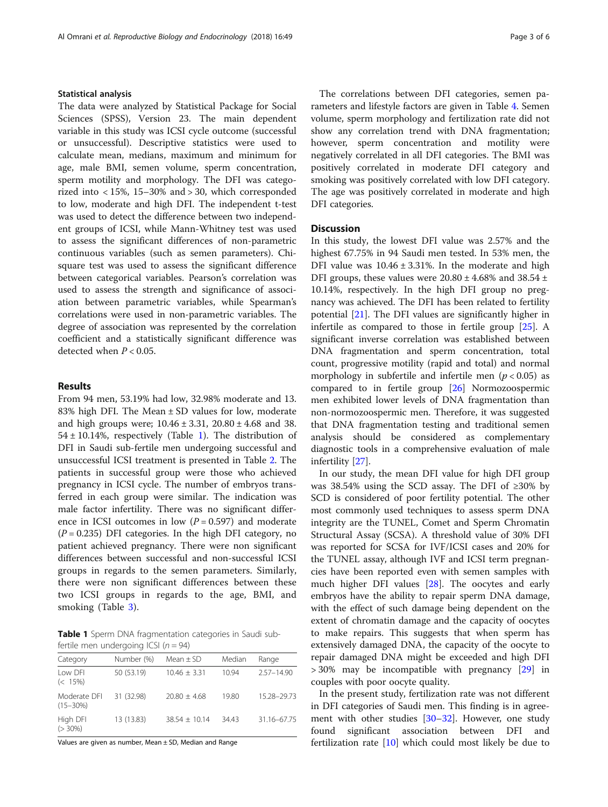#### Statistical analysis

The data were analyzed by Statistical Package for Social Sciences (SPSS), Version 23. The main dependent variable in this study was ICSI cycle outcome (successful or unsuccessful). Descriptive statistics were used to calculate mean, medians, maximum and minimum for age, male BMI, semen volume, sperm concentration, sperm motility and morphology. The DFI was categorized into < 15%, 15–30% and > 30, which corresponded to low, moderate and high DFI. The independent t-test was used to detect the difference between two independent groups of ICSI, while Mann-Whitney test was used to assess the significant differences of non-parametric continuous variables (such as semen parameters). Chisquare test was used to assess the significant difference between categorical variables. Pearson's correlation was used to assess the strength and significance of association between parametric variables, while Spearman's correlations were used in non-parametric variables. The degree of association was represented by the correlation coefficient and a statistically significant difference was detected when  $P < 0.05$ .

### Results

From 94 men, 53.19% had low, 32.98% moderate and 13. 83% high DFI. The Mean ± SD values for low, moderate and high groups were; 10.46 ± 3.31, 20.80 ± 4.68 and 38.  $54 \pm 10.14$ %, respectively (Table 1). The distribution of DFI in Saudi sub-fertile men undergoing successful and unsuccessful ICSI treatment is presented in Table [2](#page-3-0). The patients in successful group were those who achieved pregnancy in ICSI cycle. The number of embryos transferred in each group were similar. The indication was male factor infertility. There was no significant difference in ICSI outcomes in low  $(P = 0.597)$  and moderate  $(P = 0.235)$  DFI categories. In the high DFI category, no patient achieved pregnancy. There were non significant differences between successful and non-successful ICSI groups in regards to the semen parameters. Similarly, there were non significant differences between these two ICSI groups in regards to the age, BMI, and smoking (Table [3\)](#page-3-0).

Table 1 Sperm DNA fragmentation categories in Saudi subfertile men undergoing ICSI ( $n = 94$ )

| Category                      | Number (%) | Mean $\pm$ SD   | Median | Range          |
|-------------------------------|------------|-----------------|--------|----------------|
| Low DEL<br>$(< 15\%)$         | 50 (53.19) | $10.46 + 3.31$  | 1094   | $2.57 - 14.90$ |
| Moderate DFI<br>$(15 - 30\%)$ | 31 (32.98) | $20.80 + 4.68$  | 19.80  | 15.28-29.73    |
| High DFI<br>$(>30\%)$         | 13 (13.83) | $38.54 + 10.14$ | 3443   | 31.16-67.75    |

Values are given as number, Mean ± SD, Median and Range

The correlations between DFI categories, semen parameters and lifestyle factors are given in Table [4](#page-4-0). Semen volume, sperm morphology and fertilization rate did not show any correlation trend with DNA fragmentation; however, sperm concentration and motility were negatively correlated in all DFI categories. The BMI was positively correlated in moderate DFI category and smoking was positively correlated with low DFI category. The age was positively correlated in moderate and high DFI categories.

# **Discussion**

In this study, the lowest DFI value was 2.57% and the highest 67.75% in 94 Saudi men tested. In 53% men, the DFI value was  $10.46 \pm 3.31\%$ . In the moderate and high DFI groups, these values were  $20.80 \pm 4.68\%$  and  $38.54 \pm$ 10.14%, respectively. In the high DFI group no pregnancy was achieved. The DFI has been related to fertility potential [\[21](#page-5-0)]. The DFI values are significantly higher in infertile as compared to those in fertile group [[25\]](#page-5-0). A significant inverse correlation was established between DNA fragmentation and sperm concentration, total count, progressive motility (rapid and total) and normal morphology in subfertile and infertile men ( $p < 0.05$ ) as compared to in fertile group [\[26\]](#page-5-0) Normozoospermic men exhibited lower levels of DNA fragmentation than non-normozoospermic men. Therefore, it was suggested that DNA fragmentation testing and traditional semen analysis should be considered as complementary diagnostic tools in a comprehensive evaluation of male infertility [\[27\]](#page-5-0).

In our study, the mean DFI value for high DFI group was 38.54% using the SCD assay. The DFI of ≥30% by SCD is considered of poor fertility potential. The other most commonly used techniques to assess sperm DNA integrity are the TUNEL, Comet and Sperm Chromatin Structural Assay (SCSA). A threshold value of 30% DFI was reported for SCSA for IVF/ICSI cases and 20% for the TUNEL assay, although IVF and ICSI term pregnancies have been reported even with semen samples with much higher DFI values [\[28\]](#page-5-0). The oocytes and early embryos have the ability to repair sperm DNA damage, with the effect of such damage being dependent on the extent of chromatin damage and the capacity of oocytes to make repairs. This suggests that when sperm has extensively damaged DNA, the capacity of the oocyte to repair damaged DNA might be exceeded and high DFI > 30% may be incompatible with pregnancy [[29\]](#page-5-0) in couples with poor oocyte quality.

In the present study, fertilization rate was not different in DFI categories of Saudi men. This finding is in agreement with other studies [\[30](#page-5-0)–[32](#page-5-0)]. However, one study found significant association between DFI and fertilization rate [[10\]](#page-4-0) which could most likely be due to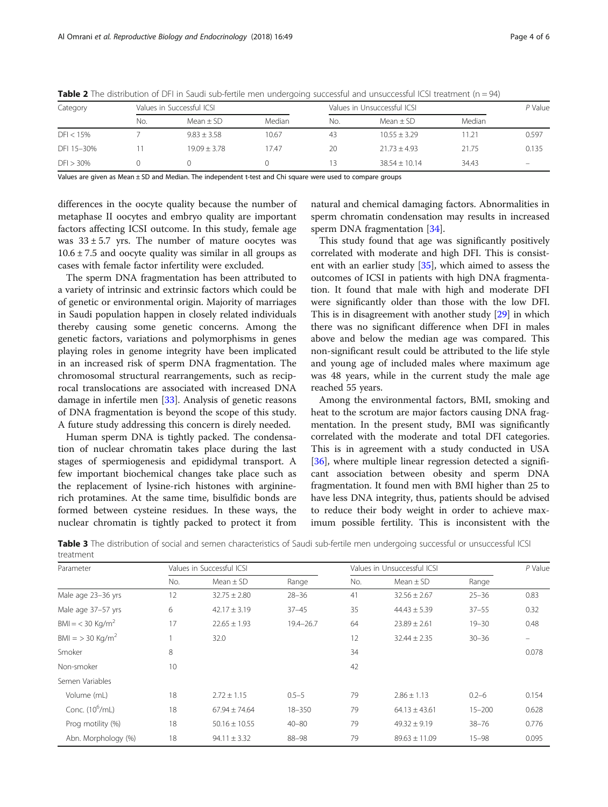| Category     |     | Values in Successful ICSI |        |     | Values in Unsuccessful ICSI |        |       |
|--------------|-----|---------------------------|--------|-----|-----------------------------|--------|-------|
|              | No. | $Mean + SD$               | Median | No. | Mean $\pm$ SD               | Median |       |
| $DFI < 15\%$ |     | $9.83 \pm 3.58$           | 10.67  | 43  | $10.55 + 3.29$              | 11.21  | 0.597 |
| DFI 15-30%   |     | $19.09 + 3.78$            | 17.47  | 20  | $21.73 + 4.93$              | 21.75  | 0.135 |
| DFI > 30%    |     |                           |        | 3   | $38.54 + 10.14$             | 34.43  | -     |

<span id="page-3-0"></span>**Table 2** The distribution of DFI in Saudi sub-fertile men undergoing successful and unsuccessful ICSI treatment ( $n = 94$ )

Values are given as Mean ± SD and Median. The independent t-test and Chi square were used to compare groups

differences in the oocyte quality because the number of metaphase II oocytes and embryo quality are important factors affecting ICSI outcome. In this study, female age was  $33 \pm 5.7$  yrs. The number of mature oocytes was  $10.6 \pm 7.5$  and oocyte quality was similar in all groups as cases with female factor infertility were excluded.

The sperm DNA fragmentation has been attributed to a variety of intrinsic and extrinsic factors which could be of genetic or environmental origin. Majority of marriages in Saudi population happen in closely related individuals thereby causing some genetic concerns. Among the genetic factors, variations and polymorphisms in genes playing roles in genome integrity have been implicated in an increased risk of sperm DNA fragmentation. The chromosomal structural rearrangements, such as reciprocal translocations are associated with increased DNA damage in infertile men [\[33](#page-5-0)]. Analysis of genetic reasons of DNA fragmentation is beyond the scope of this study. A future study addressing this concern is direly needed.

Human sperm DNA is tightly packed. The condensation of nuclear chromatin takes place during the last stages of spermiogenesis and epididymal transport. A few important biochemical changes take place such as the replacement of lysine-rich histones with argininerich protamines. At the same time, bisulfidic bonds are formed between cysteine residues. In these ways, the nuclear chromatin is tightly packed to protect it from

natural and chemical damaging factors. Abnormalities in sperm chromatin condensation may results in increased sperm DNA fragmentation [[34\]](#page-5-0).

This study found that age was significantly positively correlated with moderate and high DFI. This is consistent with an earlier study [[35](#page-5-0)], which aimed to assess the outcomes of ICSI in patients with high DNA fragmentation. It found that male with high and moderate DFI were significantly older than those with the low DFI. This is in disagreement with another study [\[29\]](#page-5-0) in which there was no significant difference when DFI in males above and below the median age was compared. This non-significant result could be attributed to the life style and young age of included males where maximum age was 48 years, while in the current study the male age reached 55 years.

Among the environmental factors, BMI, smoking and heat to the scrotum are major factors causing DNA fragmentation. In the present study, BMI was significantly correlated with the moderate and total DFI categories. This is in agreement with a study conducted in USA [[36\]](#page-5-0), where multiple linear regression detected a significant association between obesity and sperm DNA fragmentation. It found men with BMI higher than 25 to have less DNA integrity, thus, patients should be advised to reduce their body weight in order to achieve maximum possible fertility. This is inconsistent with the

| Parameter                     |     | Values in Successful ICSI |               |     | Values in Unsuccessful ICSI |            |       |
|-------------------------------|-----|---------------------------|---------------|-----|-----------------------------|------------|-------|
|                               | No. | Mean $\pm$ SD             | Range         | No. | Mean $\pm$ SD               | Range      |       |
| Male age 23-36 yrs            | 12  | $32.75 \pm 2.80$          | $28 - 36$     | 41  | $32.56 \pm 2.67$            | $25 - 36$  | 0.83  |
| Male age 37-57 yrs            | 6   | $42.17 \pm 3.19$          | $37 - 45$     | 35  | $44.43 \pm 5.39$            | $37 - 55$  | 0.32  |
| $BM = < 30$ Kg/m <sup>2</sup> | 17  | $22.65 \pm 1.93$          | $19.4 - 26.7$ | 64  | $23.89 \pm 2.61$            | $19 - 30$  | 0.48  |
| $BMI = 30 Kq/m2$              |     | 32.0                      |               | 12  | $32.44 \pm 2.35$            | $30 - 36$  |       |
| Smoker                        | 8   |                           |               | 34  |                             |            | 0.078 |
| Non-smoker                    | 10  |                           |               | 42  |                             |            |       |
| Semen Variables               |     |                           |               |     |                             |            |       |
| Volume (mL)                   | 18  | $2.72 \pm 1.15$           | $0.5 - 5$     | 79  | $2.86 \pm 1.13$             | $0.2 - 6$  | 0.154 |
| Conc. $(10^6$ /mL)            | 18  | $67.94 \pm 74.64$         | $18 - 350$    | 79  | $64.13 \pm 43.61$           | $15 - 200$ | 0.628 |
| Prog motility (%)             | 18  | $50.16 \pm 10.55$         | $40 - 80$     | 79  | $49.32 \pm 9.19$            | $38 - 76$  | 0.776 |
| Abn. Morphology (%)           | 18  | $94.11 \pm 3.32$          | $88 - 98$     | 79  | $89.63 \pm 11.09$           | $15 - 98$  | 0.095 |

Table 3 The distribution of social and semen characteristics of Saudi sub-fertile men undergoing successful or unsuccessful ICSI treatment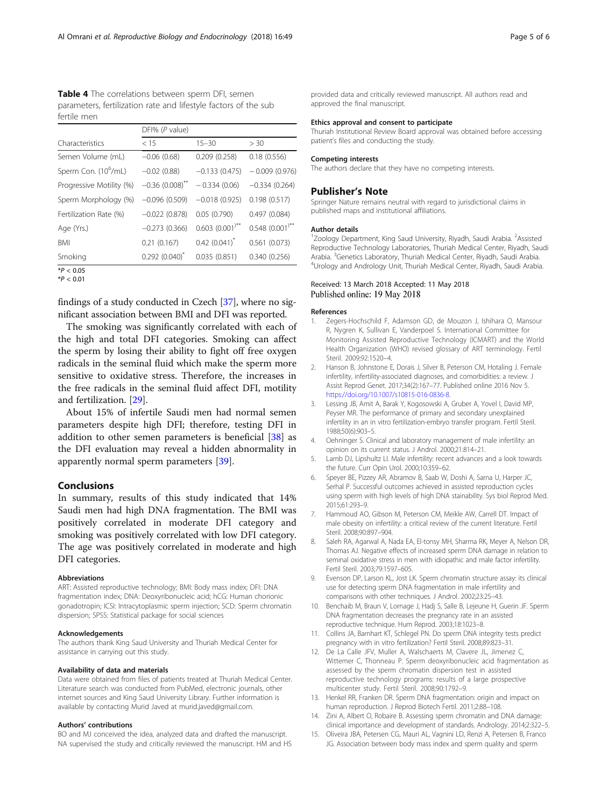<span id="page-4-0"></span>Table 4 The correlations between sperm DFI, semen parameters, fertilization rate and lifestyle factors of the sub fertile men

|                                  | DFI% (P value)      |                      |                   |  |  |
|----------------------------------|---------------------|----------------------|-------------------|--|--|
| Characteristics                  | < 15                | $15 - 30$            | > 30              |  |  |
| Semen Volume (mL)                | $-0.06(0.68)$       | 0.209(0.258)         | 0.18(0.556)       |  |  |
| Sperm Con. (10 <sup>6</sup> /mL) | $-0.02$ (0.88)      | $-0.133(0.475)$      | $-0.009(0.976)$   |  |  |
| Progressive Motility (%)         | $-0.36(0.008)^{**}$ | $-0.334(0.06)$       | $-0.334(0.264)$   |  |  |
| Sperm Morphology (%)             | $-0.096(0.509)$     | $-0.018(0.925)$      | 0.198(0.517)      |  |  |
| Fertilization Rate (%)           | $-0.022(0.878)$     | 0.05(0.790)          | 0.497(0.084)      |  |  |
| Age (Yrs.)                       | $-0.273(0.366)$     | $0.603$ $(0.001)$ ** | $0.548$ (0.001)** |  |  |
| <b>BMI</b>                       | 0.21(0.167)         | $0.42(0.041)^{*}$    | 0.561(0.073)      |  |  |
| Smoking                          | $0.292(0.040)^{*}$  | 0.035(0.851)         | 0.340(0.256)      |  |  |

 $*P < 0.05$  $*P < 0.01$ 

findings of a study conducted in Czech [[37](#page-5-0)], where no significant association between BMI and DFI was reported.

The smoking was significantly correlated with each of the high and total DFI categories. Smoking can affect the sperm by losing their ability to fight off free oxygen radicals in the seminal fluid which make the sperm more sensitive to oxidative stress. Therefore, the increases in the free radicals in the seminal fluid affect DFI, motility and fertilization. [[29\]](#page-5-0).

About 15% of infertile Saudi men had normal semen parameters despite high DFI; therefore, testing DFI in addition to other semen parameters is beneficial [[38](#page-5-0)] as the DFI evaluation may reveal a hidden abnormality in apparently normal sperm parameters [\[39](#page-5-0)].

# **Conclusions**

In summary, results of this study indicated that 14% Saudi men had high DNA fragmentation. The BMI was positively correlated in moderate DFI category and smoking was positively correlated with low DFI category. The age was positively correlated in moderate and high DFI categories.

#### Abbreviations

ART: Assisted reproductive technology; BMI: Body mass index; DFI: DNA fragmentation index; DNA: Deoxyribonucleic acid; hCG: Human chorionic gonadotropin; ICSI: Intracytoplasmic sperm injection; SCD: Sperm chromatin dispersion; SPSS: Statistical package for social sciences

#### Acknowledgements

The authors thank King Saud University and Thuriah Medical Center for assistance in carrying out this study.

#### Availability of data and materials

Data were obtained from files of patients treated at Thuriah Medical Center. Literature search was conducted from PubMed, electronic journals, other internet sources and King Saud University Library. Further information is available by contacting Murid Javed at murid.javed@gmail.com.

#### Authors' contributions

BO and MJ conceived the idea, analyzed data and drafted the manuscript. NA supervised the study and critically reviewed the manuscript. HM and HS provided data and critically reviewed manuscript. All authors read and approved the final manuscript.

#### Ethics approval and consent to participate

Thuriah Institutional Review Board approval was obtained before accessing patient's files and conducting the study.

#### Competing interests

The authors declare that they have no competing interests.

#### Publisher's Note

Springer Nature remains neutral with regard to jurisdictional claims in published maps and institutional affiliations.

#### Author details

<sup>1</sup>Zoology Department, King Saud University, Riyadh, Saudi Arabia. <sup>2</sup>Assisted Reproductive Technology Laboratories, Thuriah Medical Center, Riyadh, Saudi Arabia. <sup>3</sup> Genetics Laboratory, Thuriah Medical Center, Riyadh, Saudi Arabia.<br><sup>4</sup> Irolany and Androlany Unit. Thuriah Medical Center, Riyadh, Saudi Arabia. Urology and Andrology Unit, Thuriah Medical Center, Riyadh, Saudi Arabia.

#### Received: 13 March 2018 Accepted: 11 May 2018 Published online: 19 May 2018

#### References

- Zegers-Hochschild F, Adamson GD, de Mouzon J, Ishihara O, Mansour R, Nygren K, Sullivan E, Vanderpoel S. International Committee for Monitoring Assisted Reproductive Technology (ICMART) and the World Health Organization (WHO) revised glossary of ART terminology. Fertil Steril. 2009;92:1520–4.
- 2. Hanson B, Johnstone E, Dorais J, Silver B, Peterson CM, Hotaling J. Female infertility, infertility-associated diagnoses, and comorbidities: a review. J Assist Reprod Genet. 2017;34(2):167–77. Published online 2016 Nov 5. <https://doi.org/10.1007/s10815-016-0836-8>.
- Lessing JB, Amit A, Barak Y, Kogosowski A, Gruber A, Yovel I, David MP, Peyser MR. The performance of primary and secondary unexplained infertility in an in vitro fertilization-embryo transfer program. Fertil Steril. 1988;50(6):903–5.
- 4. Oehninger S. Clinical and laboratory management of male infertility: an opinion on its current status. J Androl. 2000;21:814–21.
- 5. Lamb DJ, Lipshultz LI. Male infertility: recent advances and a look towards the future. Curr Opin Urol. 2000;10:359–62.
- 6. Speyer BE, Pizzey AR, Abramov B, Saab W, Doshi A, Sarna U, Harper JC, Serhal P. Successful outcomes achieved in assisted reproduction cycles using sperm with high levels of high DNA stainability. Sys biol Reprod Med. 2015;61:293–9.
- 7. Hammoud AO, Gibson M, Peterson CM, Meikle AW, Carrell DT. Impact of male obesity on infertility: a critical review of the current literature. Fertil Steril. 2008;90:897–904.
- 8. Saleh RA, Agarwal A, Nada EA, El-tonsy MH, Sharma RK, Meyer A, Nelson DR, Thomas AJ. Negative effects of increased sperm DNA damage in relation to seminal oxidative stress in men with idiopathic and male factor infertility. Fertil Steril. 2003;79:1597–605.
- 9. Evenson DP, Larson KL, Jost LK. Sperm chromatin structure assay: its clinical use for detecting sperm DNA fragmentation in male infertility and comparisons with other techniques. J Androl. 2002;23:25–43.
- 10. Benchaib M, Braun V, Lornage J, Hadj S, Salle B, Lejeune H, Guerin JF. Sperm DNA fragmentation decreases the pregnancy rate in an assisted reproductive technique. Hum Reprod. 2003;18:1023–8.
- 11. Collins JA, Barnhart KT, Schlegel PN. Do sperm DNA integrity tests predict pregnancy with in vitro fertilization? Fertil Steril. 2008;89:823–31.
- 12. De La Calle JFV, Muller A, Walschaerts M, Clavere JL, Jimenez C, Wittemer C, Thonneau P. Sperm deoxyribonucleic acid fragmentation as assessed by the sperm chromatin dispersion test in assisted reproductive technology programs: results of a large prospective multicenter study. Fertil Steril. 2008;90:1792–9.
- 13. Henkel RR, Franken DR. Sperm DNA fragmentation: origin and impact on human reproduction. J Reprod Biotech Fertil. 2011;2:88–108.
- 14. Zini A, Albert O, Robaire B. Assessing sperm chromatin and DNA damage: clinical importance and development of standards. Andrology. 2014;2:322–5.
- 15. Oliveira JBA, Petersen CG, Mauri AL, Vagnini LD, Renzi A, Petersen B, Franco JG. Association between body mass index and sperm quality and sperm